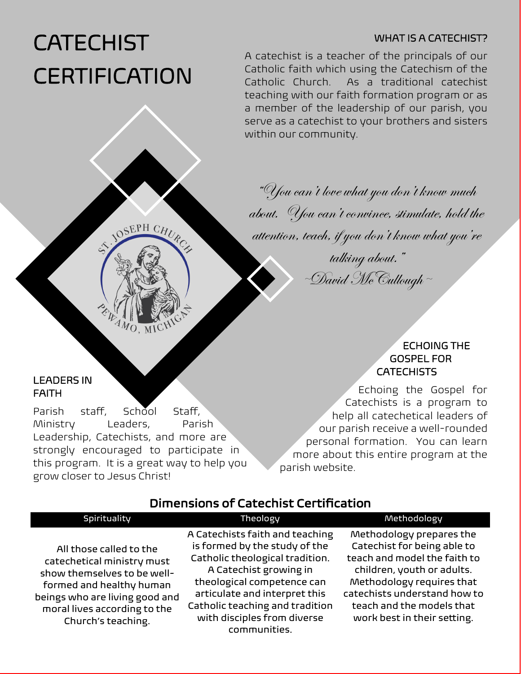## WHAT IS A CATECHIST?

# **CATECHIST CERTIFICATION**

A catechist is a teacher of the principals of our Catholic faith which using the Catechism of the Catholic Church. As a traditional catechist teaching with our faith formation program or as a member of the leadership of our parish, you serve as a catechist to your brothers and sisters within our community.

"You can't love what you don't know much about. You can't convince, stimulate, hold the

attention, teach, if you don't know what you're

talking about."  $\mathscr{D}$ avid McCullough ~

## ECHOING THE GOSPEL FOR **CATECHISTS**

Echoing the Gospel for Catechists is a program to help all catechetical leaders of our parish receive a well-rounded personal formation. You can learn more about this entire program at the parish website.

# Dimensions of Catechist Certification

| Spirituality                                                                                                                                                                                             | Theology                                                                                                                                                                                                                                                                       | Methodology                                                                                                                                                                                                                                    |
|----------------------------------------------------------------------------------------------------------------------------------------------------------------------------------------------------------|--------------------------------------------------------------------------------------------------------------------------------------------------------------------------------------------------------------------------------------------------------------------------------|------------------------------------------------------------------------------------------------------------------------------------------------------------------------------------------------------------------------------------------------|
| All those called to the<br>catechetical ministry must<br>show themselves to be well-<br>formed and healthy human<br>beings who are living good and<br>moral lives according to the<br>Church's teaching. | A Catechists faith and teaching<br>is formed by the study of the<br>Catholic theological tradition.<br>A Catechist growing in<br>theological competence can<br>articulate and interpret this<br>Catholic teaching and tradition<br>with disciples from diverse<br>communities. | Methodology prepares the<br>Catechist for being able to<br>teach and model the faith to<br>children, youth or adults.<br>Methodology requires that<br>catechists understand how to<br>teach and the models that<br>work best in their setting. |

### LEADERS IN FAITH

Parish staff, School Staff, Ministry Leaders, Parish Leadership, Catechists, and more are strongly encouraged to participate in this program. It is a great way to help you grow closer to Jesus Christ!

OSEPH CHURC